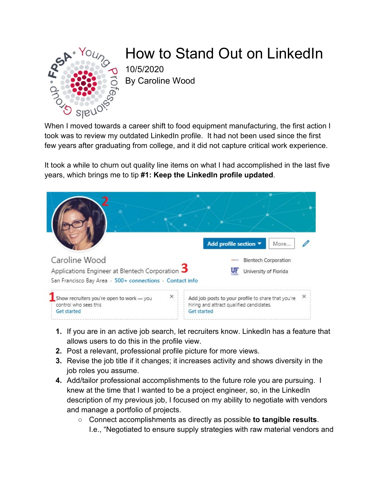

## How to Stand Out on LinkedIn

10/5/2020 By Caroline Wood

When I moved towards a career shift to food equipment manufacturing, the first action I took was to review my outdated LinkedIn profile. It had not been used since the first few years after graduating from college, and it did not capture critical work experience.

It took a while to churn out quality line items on what I had accomplished in the last five years, which brings me to tip **#1: Keep the LinkedIn profile updated**.



- **1.** If you are in an active job search, let recruiters know. LinkedIn has a feature that allows users to do this in the profile view.
- **2.** Post a relevant, professional profile picture for more views.
- **3.** Revise the job title if it changes; it increases activity and shows diversity in the job roles you assume.
- **4.** Add/tailor professional accomplishments to the future role you are pursuing. I knew at the time that I wanted to be a project engineer, so, in the LinkedIn description of my previous job, I focused on my ability to negotiate with vendors and manage a portfolio of projects.
	- Connect accomplishments as directly as possible **to tangible results**. I.e., "Negotiated to ensure supply strategies with raw material vendors and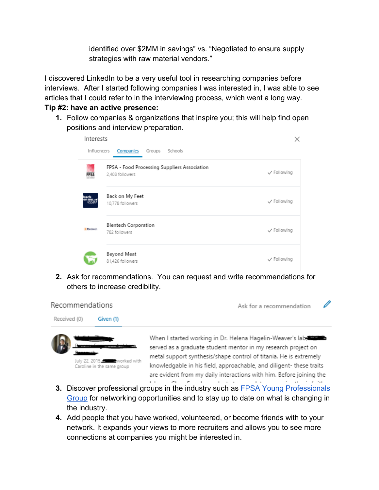identified over \$2MM in savings" vs. "Negotiated to ensure supply strategies with raw material vendors."

I discovered LinkedIn to be a very useful tool in researching companies before interviews. After I started following companies I was interested in, I was able to see articles that I could refer to in the interviewing process, which went a long way.

## **Tip #2: have an active presence:**

July 22, 2015. Worked with

Caroline in the same group

**1.** Follow companies & organizations that inspire you; this will help find open positions and interview preparation.

| Interests       |                                                                 |             |
|-----------------|-----------------------------------------------------------------|-------------|
| Influencers     | Companies<br>Schools<br>Groups                                  |             |
|                 | FPSA - Food Processing Suppliers Association<br>2,408 followers | √ Following |
|                 | Back on My Feet<br>10,778 followers                             | √ Following |
| <b>Blunbach</b> | <b>Blentech Corporation</b><br>782 followers                    | √ Following |
|                 | Beyond Meat<br>81,426 followers                                 | √ Following |

**2.** Ask for recommendations. You can request and write recommendations for others to increase credibility.



served as a graduate student mentor in my research project on metal support synthesis/shape control of titania. He is extremely knowledgable in his field, approachable, and diligent- these traits are evident from my daily interactions with him. Before joining the the contract of the contract of the contract of the state

- **3.** Discover professional groups in the industry such as [FPSA Young Professionals](https://www.linkedin.com/groups/12055101/)  [Group](https://www.linkedin.com/groups/12055101/) for networking opportunities and to stay up to date on what is changing in the industry.
- **4.** Add people that you have worked, volunteered, or become friends with to your network. It expands your views to more recruiters and allows you to see more connections at companies you might be interested in.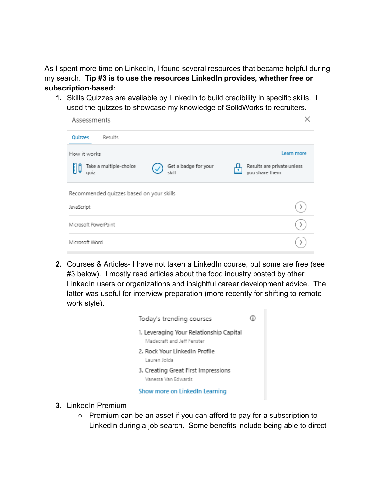As I spent more time on LinkedIn, I found several resources that became helpful during my search. **Tip #3 is to use the resources LinkedIn provides, whether free or subscription-based:**

**1.** Skills Quizzes are available by LinkedIn to build credibility in specific skills. I used the quizzes to showcase my knowledge of SolidWorks to recruiters.

| Assessments                              |                               |                                              |  |  |
|------------------------------------------|-------------------------------|----------------------------------------------|--|--|
| Quizzes<br>Results                       |                               |                                              |  |  |
| Learn more<br>How it works               |                               |                                              |  |  |
| Take a multiple-choice<br>IJO<br>quiz    | Get a badge for your<br>skill | Results are private unless<br>you share them |  |  |
| Recommended quizzes based on your skills |                               |                                              |  |  |
| JavaScript                               |                               |                                              |  |  |
| Microsoft PowerPoint                     |                               |                                              |  |  |
| Microsoft Word                           |                               |                                              |  |  |

**2.** Courses & Articles- I have not taken a LinkedIn course, but some are free (see #3 below). I mostly read articles about the food industry posted by other LinkedIn users or organizations and insightful career development advice. The latter was useful for interview preparation (more recently for shifting to remote work style).

| Today's trending courses                                              |  |
|-----------------------------------------------------------------------|--|
| 1. Leveraging Your Relationship Capital<br>Madecraft and Jeff Fenster |  |
| 2. Rock Your LinkedIn Profile<br>Lauren Jolda                         |  |
| 3. Creating Great First Impressions<br>Vanessa Van Edwards            |  |
| Show more on LinkedIn Learning                                        |  |

- **3.** LinkedIn Premium
	- Premium can be an asset if you can afford to pay for a subscription to LinkedIn during a job search. Some benefits include being able to direct